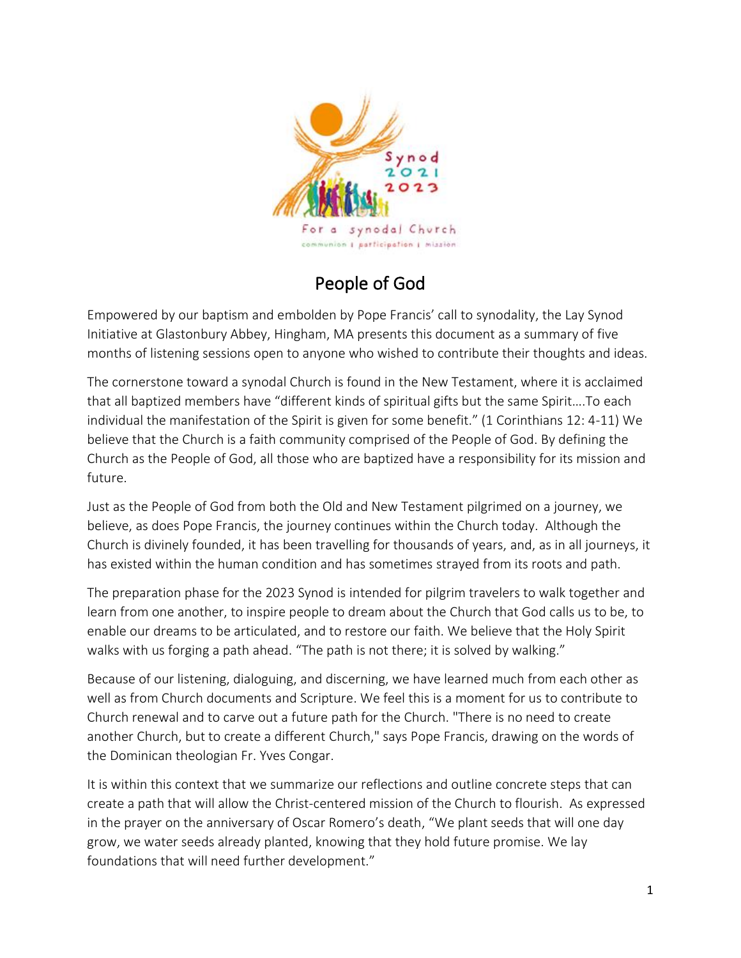

## People of God

Empowered by our baptism and embolden by Pope Francis' call to synodality, the Lay Synod Initiative at Glastonbury Abbey, Hingham, MA presents this document as a summary of five months of listening sessions open to anyone who wished to contribute their thoughts and ideas.

The cornerstone toward a synodal Church is found in the New Testament, where it is acclaimed that all baptized members have "different kinds of spiritual gifts but the same Spirit….To each individual the manifestation of the Spirit is given for some benefit." (1 Corinthians 12: 4-11) We believe that the Church is a faith community comprised of the People of God. By defining the Church as the People of God, all those who are baptized have a responsibility for its mission and future.

Just as the People of God from both the Old and New Testament pilgrimed on a journey, we believe, as does Pope Francis, the journey continues within the Church today. Although the Church is divinely founded, it has been travelling for thousands of years, and, as in all journeys, it has existed within the human condition and has sometimes strayed from its roots and path.

The preparation phase for the 2023 Synod is intended for pilgrim travelers to walk together and learn from one another, to inspire people to dream about the Church that God calls us to be, to enable our dreams to be articulated, and to restore our faith. We believe that the Holy Spirit walks with us forging a path ahead. "The path is not there; it is solved by walking."

Because of our listening, dialoguing, and discerning, we have learned much from each other as well as from Church documents and Scripture. We feel this is a moment for us to contribute to Church renewal and to carve out a future path for the Church. "There is no need to create another Church, but to create a different Church," says Pope Francis, drawing on the words of the Dominican theologian Fr. Yves Congar.

It is within this context that we summarize our reflections and outline concrete steps that can create a path that will allow the Christ-centered mission of the Church to flourish. As expressed in the prayer on the anniversary of Oscar Romero's death, "We plant seeds that will one day grow, we water seeds already planted, knowing that they hold future promise. We lay foundations that will need further development."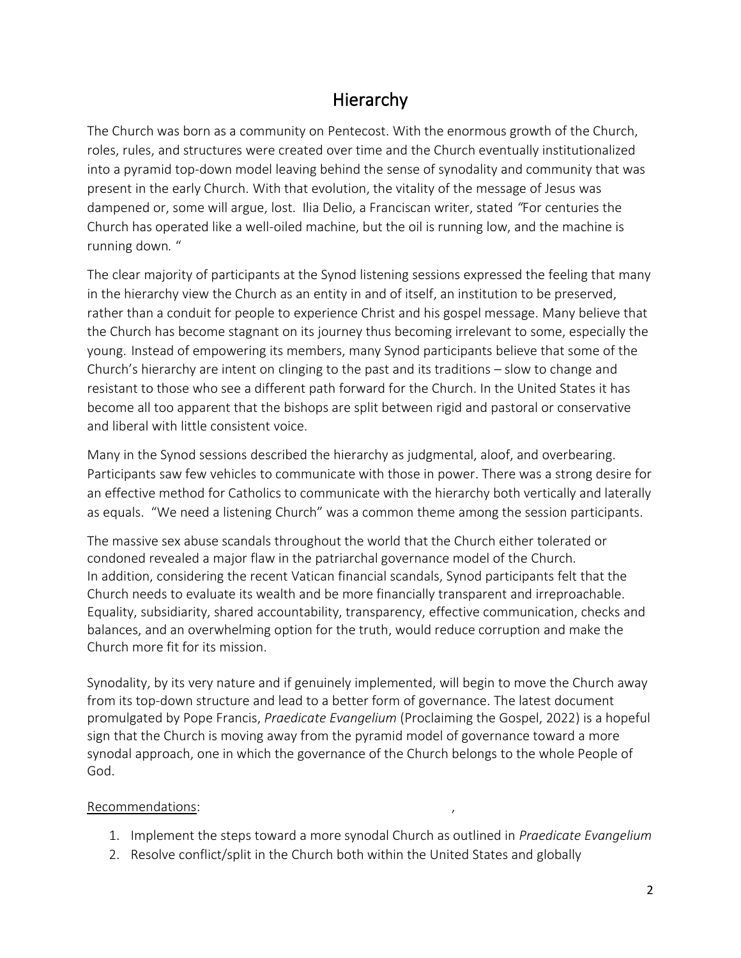## Hierarchy

The Church was born as a community on Pentecost. With the enormous growth of the Church, roles, rules, and structures were created over time and the Church eventually institutionalized into a pyramid top-down model leaving behind the sense of synodality and community that was present in the early Church. With that evolution, the vitality of the message of Jesus was dampened or, some will argue, lost. Ilia Delio, a Franciscan writer, stated *"*For centuries the Church has operated like a well-oiled machine, but the oil is running low, and the machine is running down*.* "

The clear majority of participants at the Synod listening sessions expressed the feeling that many in the hierarchy view the Church as an entity in and of itself, an institution to be preserved, rather than a conduit for people to experience Christ and his gospel message. Many believe that the Church has become stagnant on its journey thus becoming irrelevant to some, especially the young. Instead of empowering its members, many Synod participants believe that some of the Church's hierarchy are intent on clinging to the past and its traditions – slow to change and resistant to those who see a different path forward for the Church. In the United States it has become all too apparent that the bishops are split between rigid and pastoral or conservative and liberal with little consistent voice.

Many in the Synod sessions described the hierarchy as judgmental, aloof, and overbearing. Participants saw few vehicles to communicate with those in power. There was a strong desire for an effective method for Catholics to communicate with the hierarchy both vertically and laterally as equals. "We need a listening Church" was a common theme among the session participants.

The massive sex abuse scandals throughout the world that the Church either tolerated or condoned revealed a major flaw in the patriarchal governance model of the Church. In addition, considering the recent Vatican financial scandals, Synod participants felt that the Church needs to evaluate its wealth and be more financially transparent and irreproachable. Equality, subsidiarity, shared accountability, transparency, effective communication, checks and balances, and an overwhelming option for the truth, would reduce corruption and make the Church more fit for its mission.

Synodality, by its very nature and if genuinely implemented, will begin to move the Church away from its top-down structure and lead to a better form of governance. The latest document promulgated by Pope Francis, *Praedicate Evangelium* (Proclaiming the Gospel, 2022) is a hopeful sign that the Church is moving away from the pyramid model of governance toward a more synodal approach, one in which the governance of the Church belongs to the whole People of God.

#### Recommendations: ,

- 1. Implement the steps toward a more synodal Church as outlined in *Praedicate Evangelium*
- 2. Resolve conflict/split in the Church both within the United States and globally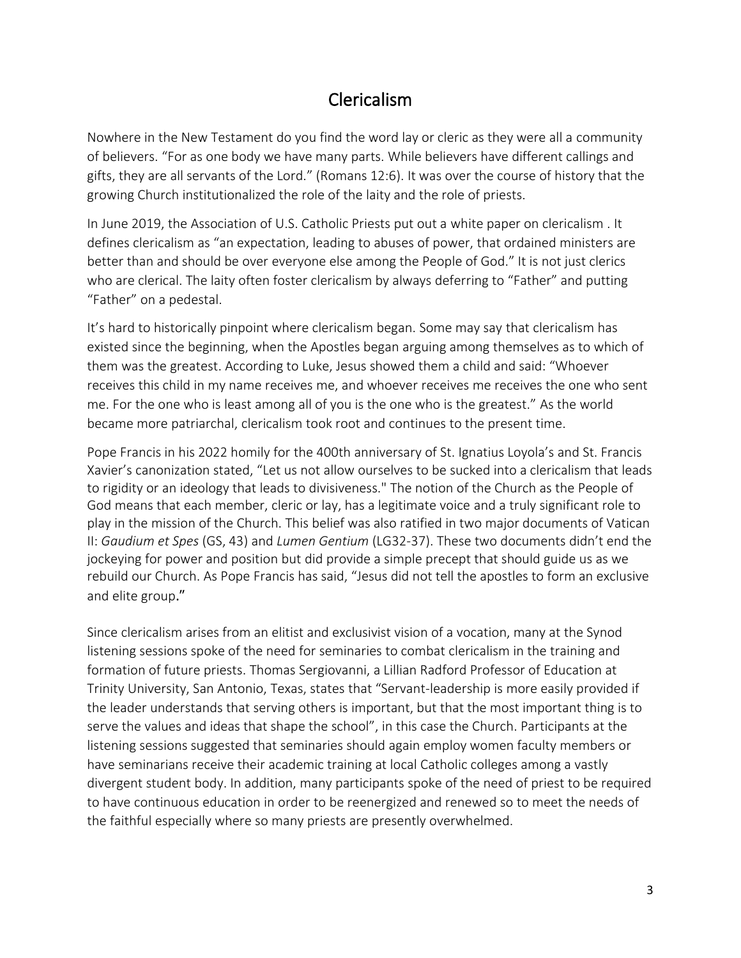# Clericalism

Nowhere in the New Testament do you find the word lay or cleric as they were all a community of believers. "For as one body we have many parts. While believers have different callings and gifts, they are all servants of the Lord." [\(Romans 12:6\)](https://biblia.com/bible/esv/Rom%2012.6). It was over the course of history that the growing Church institutionalized the role of the laity and the role of priests.

In June 2019, the Association of U.S. Catholic Priests put out a [white paper on clericalism](https://www.futurechurch.org/sites/default/files/Model%204%20A%20-AUSCP%20White%20Paper-Systemic%20Dysfunction%20Clericalism.pdf) . It defines clericalism as "an expectation, leading to abuses of power, that ordained ministers are better than and should be over everyone else among the People of God." It is not just clerics who are clerical. The laity often foster clericalism by always deferring to "Father" and putting "Father" on a pedestal.

It's hard to historically pinpoint where clericalism began. Some may say that clericalism has existed since the beginning, when the Apostles began arguing among themselves as to which of them was the greatest. According to Luke, Jesus showed them a child and said: "Whoever receives this child in my name receives me, and whoever receives me receives the one who sent me. For the one who is least among all of you is the one who is the greatest." As the world became more patriarchal, clericalism took root and continues to the present time.

Pope Francis in his 2022 homily for the 400th anniversary of St. Ignatius Loyola's and St. Francis Xavier's canonization stated, "Let us not allow ourselves to be sucked into a clericalism that leads to rigidity or an ideology that leads to divisiveness." The notion of the Church as the People of God means that each member, cleric or lay, has a legitimate voice and a truly significant role to play in the mission of the Church. This belief was also ratified in two major documents of Vatican II: *Gaudium et Spes* (GS, 43) and *Lumen Gentium* (LG32-37). These two documents didn't end the jockeying for power and position but did provide a simple precept that should guide us as we rebuild our Church. As Pope Francis has said, "Jesus did not tell the apostles to form an exclusive and elite group."

Since clericalism arises from an elitist and exclusivist vision of a vocation, many at the Synod listening sessions spoke of the need for seminaries to combat clericalism in the training and formation of future priests. Thomas Sergiovanni, a Lillian Radford Professor of Education at Trinity University, San Antonio, Texas, states that "Servant-leadership is more easily provided if the leader understands that serving others is important, but that the most important thing is to serve the values and ideas that shape the school", in this case the Church. Participants at the listening sessions suggested that seminaries should again employ women faculty members or have seminarians receive their academic training at local Catholic colleges among a vastly divergent student body. In addition, many participants spoke of the need of priest to be required to have continuous education in order to be reenergized and renewed so to meet the needs of the faithful especially where so many priests are presently overwhelmed.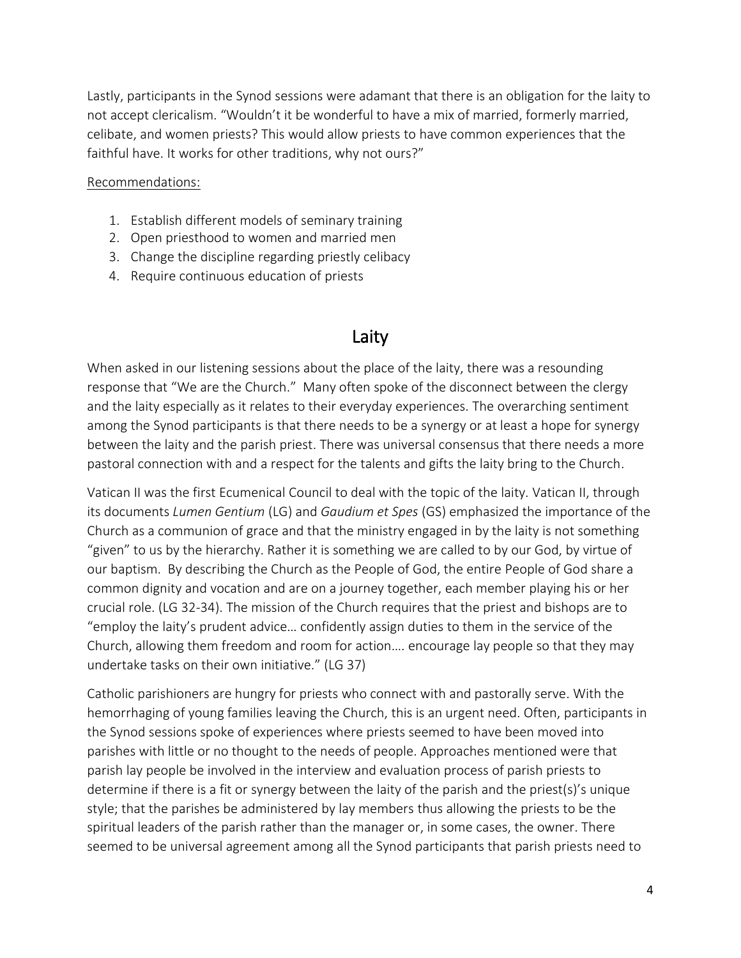Lastly, participants in the Synod sessions were adamant that there is an obligation for the laity to not accept clericalism. "Wouldn't it be wonderful to have a mix of married, formerly married, celibate, and women priests? This would allow priests to have common experiences that the faithful have. It works for other traditions, why not ours?"

#### Recommendations:

- 1. Establish different models of seminary training
- 2. Open priesthood to women and married men
- 3. Change the discipline regarding priestly celibacy
- 4. Require continuous education of priests

### Laity

When asked in our listening sessions about the place of the laity, there was a resounding response that "We are the Church." Many often spoke of the disconnect between the clergy and the laity especially as it relates to their everyday experiences. The overarching sentiment among the Synod participants is that there needs to be a synergy or at least a hope for synergy between the laity and the parish priest. There was universal consensus that there needs a more pastoral connection with and a respect for the talents and gifts the laity bring to the Church.

Vatican II was the first Ecumenical Council to deal with the topic of the laity. Vatican II, through its documents *Lumen Gentium* (LG) and *Gaudium et Spes* (GS) emphasized the importance of the Church as a communion of grace and that the ministry engaged in by the laity is not something "given" to us by the hierarchy. Rather it is something we are called to by our God, by virtue of our baptism. By describing the Church as the People of God, the entire People of God share a common dignity and vocation and are on a journey together, each member playing his or her crucial role. (LG 32-34). The mission of the Church requires that the priest and bishops are to "employ the laity's prudent advice… confidently assign duties to them in the service of the Church, allowing them freedom and room for action…. encourage lay people so that they may undertake tasks on their own initiative." (LG 37)

Catholic parishioners are hungry for priests who connect with and pastorally serve. With the hemorrhaging of young families leaving the Church, this is an urgent need. Often, participants in the Synod sessions spoke of experiences where priests seemed to have been moved into parishes with little or no thought to the needs of people. Approaches mentioned were that parish lay people be involved in the interview and evaluation process of parish priests to determine if there is a fit or synergy between the laity of the parish and the priest(s)'s unique style; that the parishes be administered by lay members thus allowing the priests to be the spiritual leaders of the parish rather than the manager or, in some cases, the owner. There seemed to be universal agreement among all the Synod participants that parish priests need to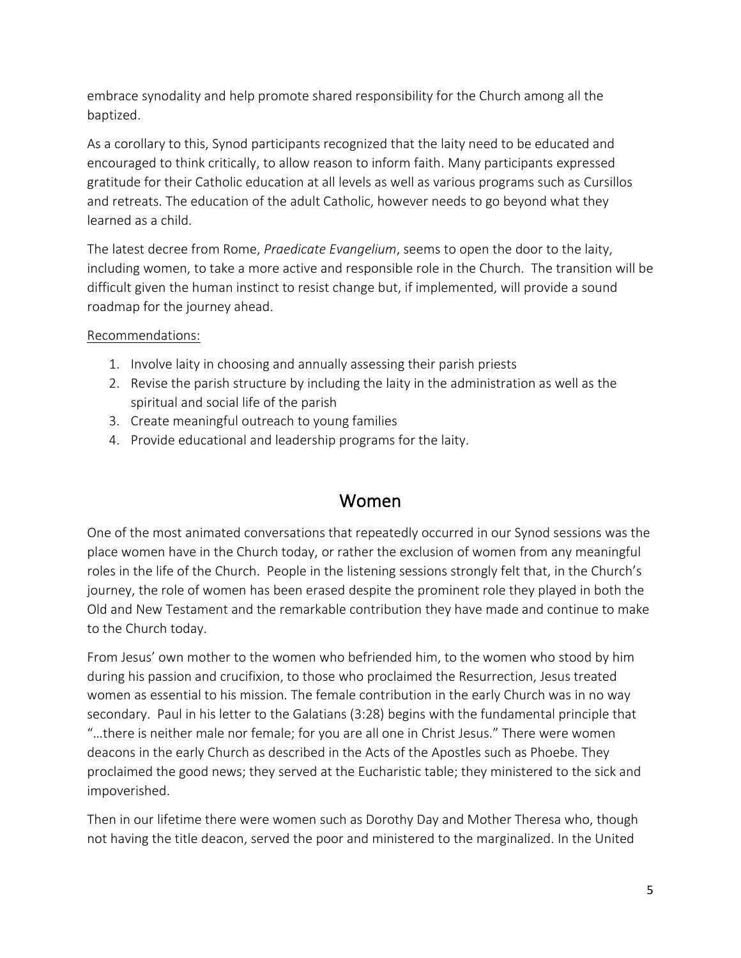embrace synodality and help promote shared responsibility for the Church among all the baptized.

As a corollary to this, Synod participants recognized that the laity need to be educated and encouraged to think critically, to allow reason to inform faith. Many participants expressed gratitude for their Catholic education at all levels as well as various programs such as Cursillos and retreats. The education of the adult Catholic, however needs to go beyond what they learned as a child.

The latest decree from Rome, *Praedicate Evangelium*, seems to open the door to the laity, including women, to take a more active and responsible role in the Church. The transition will be difficult given the human instinct to resist change but, if implemented, will provide a sound roadmap for the journey ahead.

### Recommendations:

- 1. Involve laity in choosing and annually assessing their parish priests
- 2. Revise the parish structure by including the laity in the administration as well as the spiritual and social life of the parish
- 3. Create meaningful outreach to young families
- 4. Provide educational and leadership programs for the laity.

### Women

One of the most animated conversations that repeatedly occurred in our Synod sessions was the place women have in the Church today, or rather the exclusion of women from any meaningful roles in the life of the Church. People in the listening sessions strongly felt that, in the Church's journey, the role of women has been erased despite the prominent role they played in both the Old and New Testament and the remarkable contribution they have made and continue to make to the Church today.

From Jesus' own mother to the women who befriended him, to the women who stood by him during his passion and crucifixion, to those who proclaimed the Resurrection, Jesus treated women as essential to his mission. The female contribution in the early Church was in no way secondary. Paul in his letter to the Galatians (3:28) begins with the fundamental principle that "…there is neither male nor female; for you are all one in Christ Jesus." There were women deacons in the early Church as described in the Acts of the Apostles such as Phoebe. They proclaimed the good news; they served at the Eucharistic table; they ministered to the sick and impoverished.

Then in our lifetime there were women such as Dorothy Day and Mother Theresa who, though not having the title deacon, served the poor and ministered to the marginalized. In the United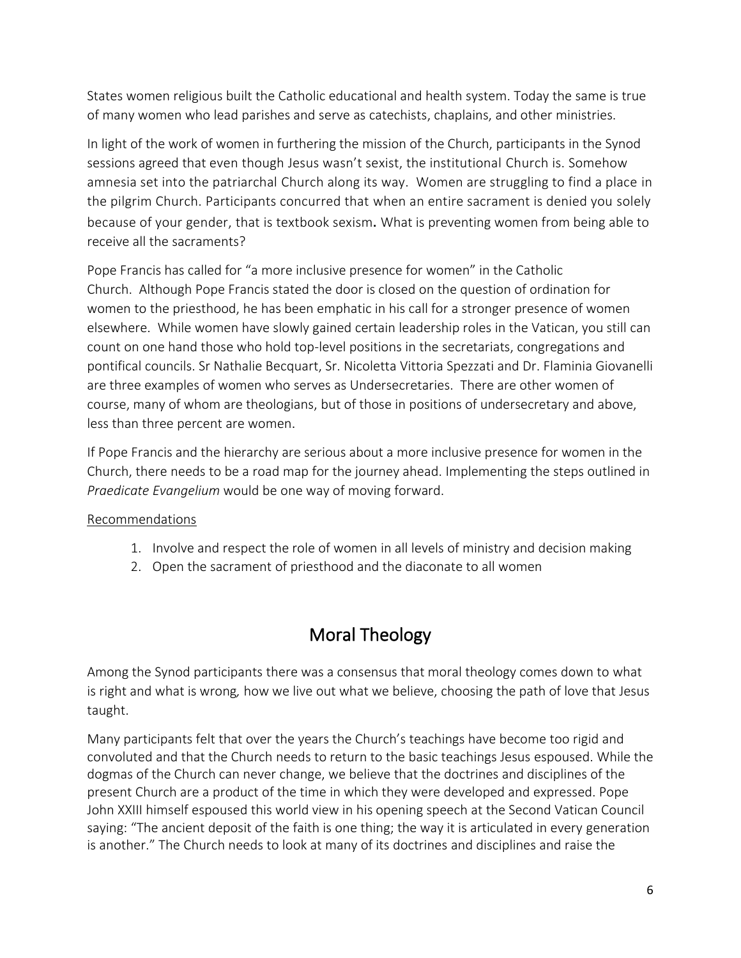States women religious built the Catholic educational and health system. Today the same is true of many women who lead parishes and serve as catechists, chaplains, and other ministries.

In light of the work of women in furthering the mission of the Church, participants in the Synod sessions agreed that even though Jesus wasn't sexist, the institutional Church is. Somehow amnesia set into the patriarchal Church along its way. Women are struggling to find a place in the pilgrim Church. Participants concurred that when an entire sacrament is denied you solely because of your gender, that is textbook sexism. What is preventing women from being able to receive all the sacraments?

Pope Francis has called for "a more inclusive presence for women" in the Catholic Church. Although Pope Francis stated the door is closed on the question of ordination for women to the priesthood, he has been emphatic in his call for a stronger presence of women elsewhere. While women have slowly [gained certain leadership roles](https://www.futurechurch.org/sites/default/files/FC-Charting%20the%20roles%20of%20women%20in%20the%20Curia.pdf) in the Vatican, you still can count on one hand those who hold top-level positions in the secretariats, congregations and pontifical councils. Sr Nathalie Becquart, Sr. Nicoletta Vittoria Spezzati and Dr. Flaminia Giovanelli are three examples of women who serves as Undersecretaries. There are other women of course, many of whom are theologians, but of those in positions of undersecretary and above, less than three percent are women.

If Pope Francis and the hierarchy are serious about a more inclusive presence for women in the Church, there needs to be a road map for the journey ahead. Implementing the steps outlined in *Praedicate Evangelium* would be one way of moving forward.

### Recommendations

- 1. Involve and respect the role of women in all levels of ministry and decision making
- 2. Open the sacrament of priesthood and the diaconate to all women

# Moral Theology

Among the Synod participants there was a consensus that moral theology comes down to what is right and what is wrong*,* how we live out what we believe, choosing the path of love that Jesus taught.

Many participants felt that over the years the Church's teachings have become too rigid and convoluted and that the Church needs to return to the basic teachings Jesus espoused. While the dogmas of the Church can never change, we believe that the doctrines and disciplines of the present Church are a product of the time in which they were developed and expressed. Pope John XXIII himself espoused this world view in his opening speech at the Second Vatican Council saying: "The ancient deposit of the faith is one thing; the way it is articulated in every generation is another." The Church needs to look at many of its doctrines and disciplines and raise the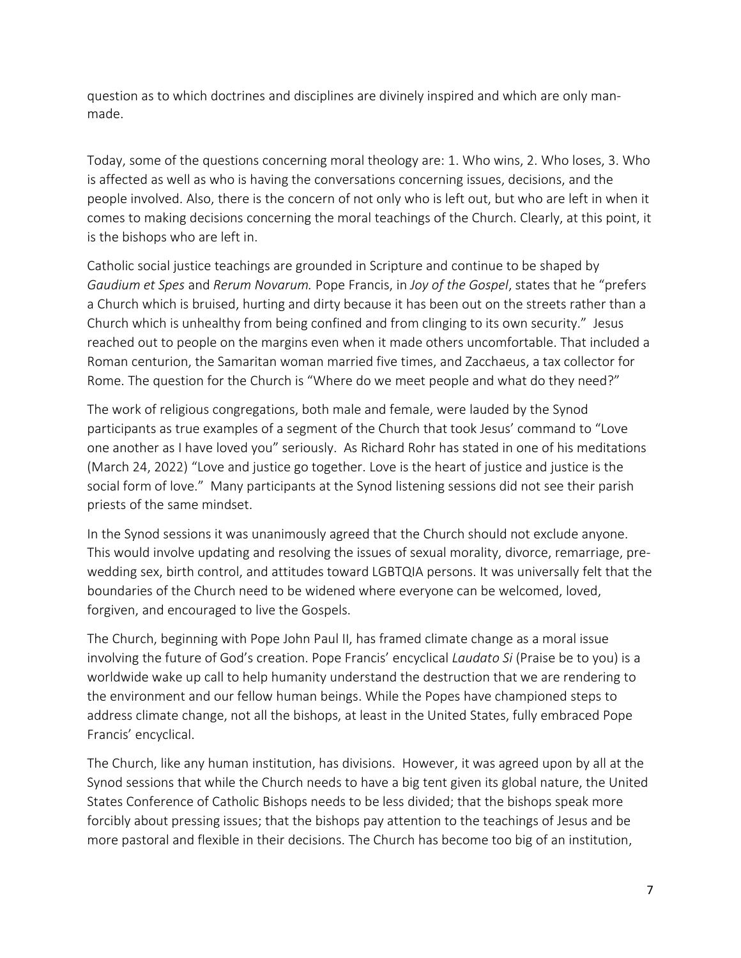question as to which doctrines and disciplines are divinely inspired and which are only manmade.

Today, some of the questions concerning moral theology are: 1. Who wins, 2. Who loses, 3. Who is affected as well as who is having the conversations concerning issues, decisions, and the people involved. Also, there is the concern of not only who is left out, but who are left in when it comes to making decisions concerning the moral teachings of the Church. Clearly, at this point, it is the bishops who are left in.

Catholic social justice teachings are grounded in Scripture and continue to be shaped by *Gaudium et Spes* and *Rerum Novarum.* Pope Francis, in *Joy of the Gospel*, states that he "prefers a Church which is bruised, hurting and dirty because it has been out on the streets rather than a Church which is unhealthy from being confined and from clinging to its own security." Jesus reached out to people on the margins even when it made others uncomfortable. That included a Roman centurion, the Samaritan woman married five times, and Zacchaeus, a tax collector for Rome. The question for the Church is "Where do we meet people and what do they need?"

The work of religious congregations, both male and female, were lauded by the Synod participants as true examples of a segment of the Church that took Jesus' command to "Love one another as I have loved you" seriously. As Richard Rohr has stated in one of his meditations (March 24, 2022) "Love and justice go together. Love is the heart of justice and justice is the social form of love." Many participants at the Synod listening sessions did not see their parish priests of the same mindset.

In the Synod sessions it was unanimously agreed that the Church should not exclude anyone. This would involve updating and resolving the issues of sexual morality, divorce, remarriage, prewedding sex, birth control, and attitudes toward LGBTQIA persons. It was universally felt that the boundaries of the Church need to be widened where everyone can be welcomed, loved, forgiven, and encouraged to live the Gospels.

The Church, beginning with Pope John Paul II, has framed climate change as a moral issue involving the future of God's creation. Pope Francis' encyclical *Laudato Si* (Praise be to you) is a worldwide wake up call to help humanity understand the destruction that we are rendering to the environment and our fellow human beings. While the Popes have championed steps to address climate change, not all the bishops, at least in the United States, fully embraced Pope Francis' encyclical.

The Church, like any human institution, has divisions. However, it was agreed upon by all at the Synod sessions that while the Church needs to have a big tent given its global nature, the United States Conference of Catholic Bishops needs to be less divided; that the bishops speak more forcibly about pressing issues; that the bishops pay attention to the teachings of Jesus and be more pastoral and flexible in their decisions. The Church has become too big of an institution,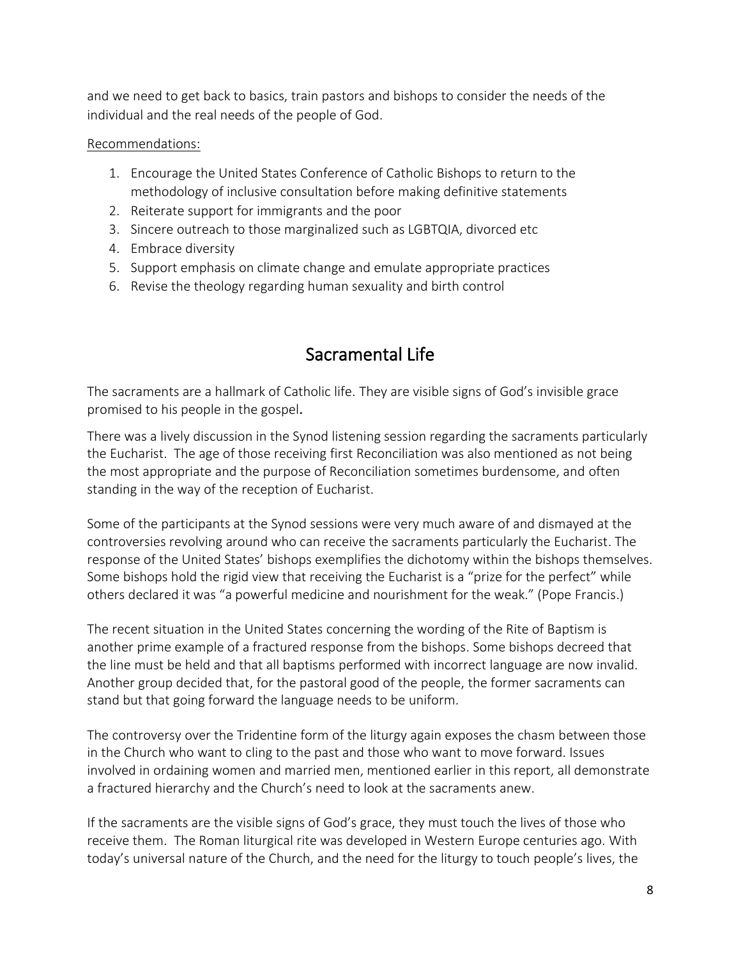and we need to get back to basics, train pastors and bishops to consider the needs of the individual and the real needs of the people of God.

#### Recommendations:

- 1. Encourage the United States Conference of Catholic Bishops to return to the methodology of inclusive consultation before making definitive statements
- 2. Reiterate support for immigrants and the poor
- 3. Sincere outreach to those marginalized such as LGBTQIA, divorced etc
- 4. Embrace diversity
- 5. Support emphasis on climate change and emulate appropriate practices
- 6. Revise the theology regarding human sexuality and birth control

## Sacramental Life

The sacraments are a hallmark of Catholic life. They are visible signs of God's invisible grace promised to his people in the gospel.

There was a lively discussion in the Synod listening session regarding the sacraments particularly the Eucharist. The age of those receiving first Reconciliation was also mentioned as not being the most appropriate and the purpose of Reconciliation sometimes burdensome, and often standing in the way of the reception of Eucharist.

Some of the participants at the Synod sessions were very much aware of and dismayed at the controversies revolving around who can receive the sacraments particularly the Eucharist. The response of the United States' bishops exemplifies the dichotomy within the bishops themselves. Some bishops hold the rigid view that receiving the Eucharist is a "prize for the perfect" while others declared it was "a powerful medicine and nourishment for the weak." (Pope Francis.)

The recent situation in the United States concerning the wording of the Rite of Baptism is another prime example of a fractured response from the bishops. Some bishops decreed that the line must be held and that all baptisms performed with incorrect language are now invalid. Another group decided that, for the pastoral good of the people, the former sacraments can stand but that going forward the language needs to be uniform.

The controversy over the Tridentine form of the liturgy again exposes the chasm between those in the Church who want to cling to the past and those who want to move forward. Issues involved in ordaining women and married men, mentioned earlier in this report, all demonstrate a fractured hierarchy and the Church's need to look at the sacraments anew.

If the sacraments are the visible signs of God's grace, they must touch the lives of those who receive them. The Roman liturgical rite was developed in Western Europe centuries ago. With today's universal nature of the Church, and the need for the liturgy to touch people's lives, the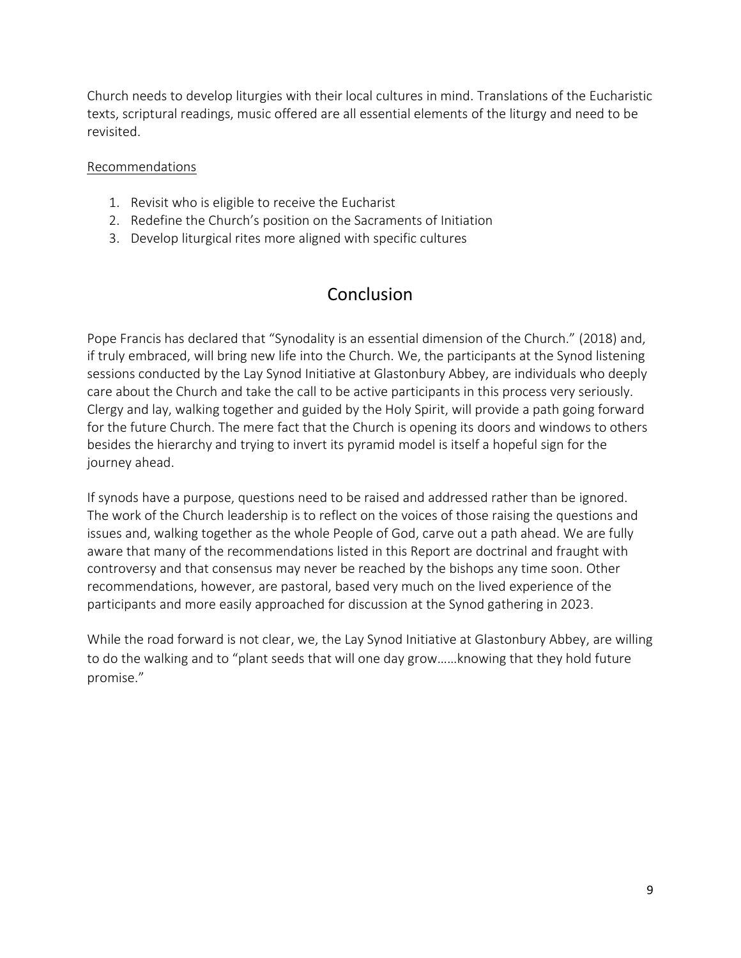Church needs to develop liturgies with their local cultures in mind. Translations of the Eucharistic texts, scriptural readings, music offered are all essential elements of the liturgy and need to be revisited.

#### Recommendations

- 1. Revisit who is eligible to receive the Eucharist
- 2. Redefine the Church's position on the Sacraments of Initiation
- 3. Develop liturgical rites more aligned with specific cultures

## **Conclusion**

Pope Francis has declared that "Synodality is an essential dimension of the Church." (2018) and, if truly embraced, will bring new life into the Church. We, the participants at the Synod listening sessions conducted by the Lay Synod Initiative at Glastonbury Abbey, are individuals who deeply care about the Church and take the call to be active participants in this process very seriously. Clergy and lay, walking together and guided by the Holy Spirit, will provide a path going forward for the future Church. The mere fact that the Church is opening its doors and windows to others besides the hierarchy and trying to invert its pyramid model is itself a hopeful sign for the journey ahead.

If synods have a purpose, questions need to be raised and addressed rather than be ignored. The work of the Church leadership is to reflect on the voices of those raising the questions and issues and, walking together as the whole People of God, carve out a path ahead. We are fully aware that many of the recommendations listed in this Report are doctrinal and fraught with controversy and that consensus may never be reached by the bishops any time soon. Other recommendations, however, are pastoral, based very much on the lived experience of the participants and more easily approached for discussion at the Synod gathering in 2023.

While the road forward is not clear, we, the Lay Synod Initiative at Glastonbury Abbey, are willing to do the walking and to "plant seeds that will one day grow……knowing that they hold future promise."